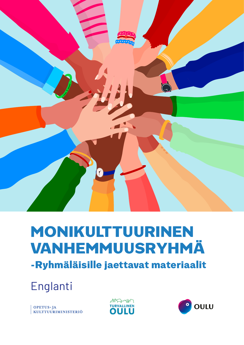

# MONIKULTTUURINEN VANHEMMUUSRYHMÄ

-Ryhmäläisille jaettavat materiaalit

Englanti

OPETUS-JA<br>KULTTUURIMINISTERIÖ



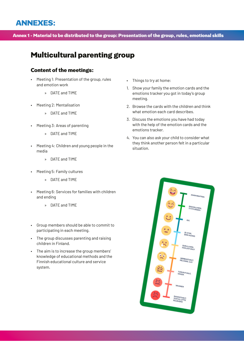# ANNEXES:

#### Annex 1 - Material to be distributed to the group: Presentation of the group, rules, emotional skills

# Multicultural parenting group

#### Content of the meetings:

- Meeting 1: Presentation of the group, rules and emotion work
	- » DATE and TIME
- Meeting 2: Mentalisation
	- » DATE and TIME
- Meeting 3: Areas of parenting
	- » DATE and TIME
- Meeting 4: Children and young people in the media
	- » DATE and TIME
- Meeting 5: Family cultures
	- » DATE and TIME
- Meeting 6: Services for families with children and ending
	- » DATE and TIME
- Group members should be able to commit to participating in each meeting.
- The group discusses parenting and raising children in Finland.
- The aim is to increase the group members' knowledge of educational methods and the Finnish educational culture and service system.
- Things to try at home:
- 1. Show your family the emotion cards and the emotions tracker you got in today's group meeting.
- 2. Browse the cards with the children and think what emotion each card describes.
- 3. Discuss the emotions you have had today with the help of the emotion cards and the emotions tracker.
- 4. You can also ask your child to consider what they think another person felt in a particular situation.

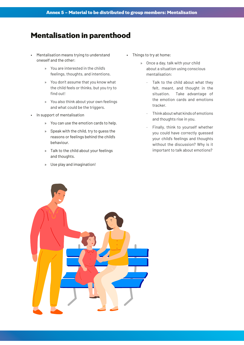## Mentalisation in parenthood

- Mentalisation means trying to understand oneself and the other:
	- » You are interested in the child's feelings, thoughts, and intentions.
	- » You don't assume that you know what the child feels or thinks, but you try to find out!
	- » You also think about your own feelings and what could be the triggers.
- In support of mentalisation
	- » You can use the emotion cards to help.
	- » Speak with the child, try to guess the reasons or feelings behind the child's behaviour.
	- » Talk to the child about your feelings and thoughts.
	- » Use play and imagination!
- Things to try at home:
	- » Once a day, talk with your child about a situation using conscious mentalisation:
		- · Talk to the child about what they felt, meant, and thought in the situation. Take advantage of the emotion cards and emotions tracker.
		- · Think about what kinds of emotions and thoughts rise in you.
		- Finally, think to yourself whether you could have correctly guessed your child's feelings and thoughts without the discussion? Why is it important to talk about emotions?

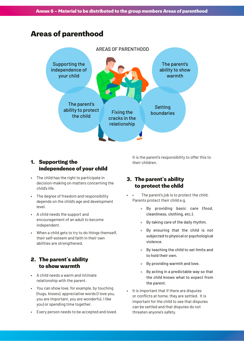## Areas of parenthood



#### 1. Supporting the independence of your child

- The child has the right to participate in decision-making on matters concerning the child's life.
- The degree of freedom and responsibility depends on the child's age and development level.
- A child needs the support and encouragement of an adult to become independent.
- When a child gets to try to do things themself, their self-esteem and faith in their own abilities are strengthened.

#### 2. The parent's ability to show warmth

- A child needs a warm and intimate relationship with the parent.
- You can show love, for example, by touching (hugs, kisses), appreciative words (I love you, you are important, you are wonderful, I like you) or spending time together.
- Every person needs to be accepted and loved.

It is the parent's responsibility to offer this to their children.

#### 3. The parent's ability to protect the child

- The parent's job is to protect the child. Parents protect their child e.g.
	- » By providing basic care (food, cleanliness, clothing, etc.).
	- » By taking care of the daily rhythm.
	- » By ensuring that the child is not subjected to physical or psychological violence.
	- » By teaching the child to set limits and to hold their own.
	- » By providing warmth and love.
	- » By acting in a predictable way so that the child knows what to expect from the parent.
- It is important that if there are disputes or conflicts at home, they are settled. It is important for the child to see that disputes can be settled and that disputes do not threaten anyone's safety.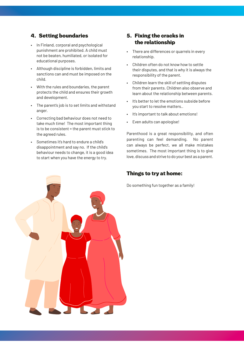## 4. Setting boundaries

- In Finland, corporal and psychological punishment are prohibited. A child must not be beaten, humiliated, or isolated for educational purposes.
- Although discipline is forbidden, limits and sanctions can and must be imposed on the child.
- With the rules and boundaries, the parent protects the child and ensures their growth and development.
- The parent's job is to set limits and withstand anger.
- Correcting bad behaviour does not need to take much time! The most important thing is to be consistent = the parent must stick to the agreed rules.
- Sometimes it's hard to endure a child's disappointment and say no. If the child's behaviour needs to change, it is a good idea to start when you have the energy to try.

#### 5. Fixing the cracks in the relationship

- There are differences or quarrels in every relationship.
- Children often do not know how to settle their disputes, and that is why it is always the responsibility of the parent.
- Children learn the skill of settling disputes from their parents. Children also observe and learn about the relationship between parents.
- It's better to let the emotions subside before you start to resolve matters..
- It's important to talk about emotions!
- Even adults can apologise!

Parenthood is a great responsibility, and often parenting can feel demanding. No parent can always be perfect, we all make mistakes sometimes. The most important thing is to give love, discuss and strive to do your best as a parent.

#### Things to try at home:

Do something fun together as a family!

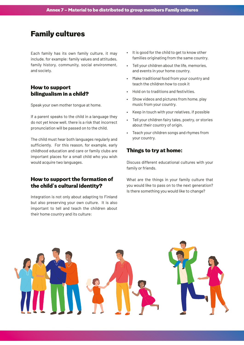## Family cultures

Each family has its own family culture, it may include, for example: family values and attitudes, family history, community, social environment, and society.

#### How to support bilingualism in a child?

Speak your own mother tongue at home.

If a parent speaks to the child in a language they do not yet know well, there is a risk that incorrect pronunciation will be passed on to the child.

The child must hear both languages regularly and sufficiently. For this reason, for example, early childhood education and care or family clubs are important places for a small child who you wish would acquire two languages.

#### How to support the formation of the child's cultural identity?

Integration is not only about adapting to Finland but also preserving your own culture. It is also important to tell and teach the children about their home country and its culture:

- It is good for the child to get to know other families originating from the same country.
- Tell your children about the life, memories, and events in your home country.
- Make traditional food from your country and teach the children how to cook it
- Hold on to traditions and festivities.
- Show videos and pictures from home, play music from your country.
- Keep in touch with your relatives, if possible
- Tell your children fairy tales, poetry, or stories about their country of origin.
- Teach your children songs and rhymes from your country.

#### Things to try at home:

Discuss different educational cultures with your family or friends.

What are the things in your family culture that you would like to pass on to the next generation? Is there something you would like to change?

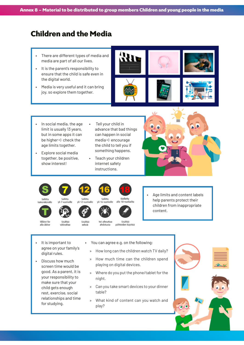# Children and the Media

- There are different types of media and media are part of all our lives.
- It is the parent's responsibility to ensure that the child is safe even in the digital world.
- Media is very useful and it can bring joy, so explore them together.



- In social media, the age limit is usually 13 years, but in some apps it can be higher  $\Rightarrow$  check the age limits together.
- Explore social media together, be positive, show interest!
- Tell your child in advance that bad things can happen in social media  $\Leftrightarrow$  encourage the child to tell you if something happens.
- Teach your children internet safety instructions.





Sallittu

kaikenikäisille















Age limits and content labels help parents protect their children from inappropriate content.

Tillåtet för alla áldra

Sisaltaa väkivaltaa

It is important to agree on your family's

Discuss how much screen time would be good. As a parent, it is your responsibility to make sure that your child gets enough rest, exercise, social relationships and time

digital rules.

for studying.

Sisaltaa seksiä

Sallitte

Voi aiheuttaa ahdistusta

Sallittu

Sisältää päihteiden käyttöä









» How long can the children watch TV daily?

- » How much time can the children spend playing on digital devices.
- » Where do you put the phone/tablet for the night.
- » Can you take smart devices to your dinner table?
- » What kind of content can you watch and play?

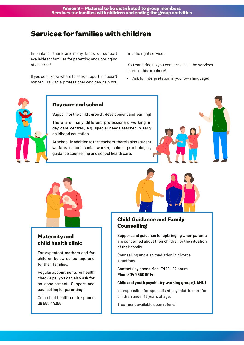# Services for families with children

In Finland, there are many kinds of support available for families for parenting and upbringing of children!

If you don't know where to seek support, it doesn't matter. Talk to a professional who can help you find the right service.

 You can bring up you concerns in all the services listed in this brochure!

• Ask for interpretation in your own language!



#### Day care and school

Support for the child's growth, development and learning!

There are many different professionals working in day care centres, e.g. special needs teacher in early childhood education.

At school, in addition to the teachers, there is also student welfare, school social worker, school psychologist, guidance counselling and school health care.





## Maternity and child health clinic

For expectant mothers and for children below school age and for their families.

Regular appointments for health check-ups, you can also ask for an appointment. Support and counselling for parenting!

Oulu child health centre phone 08 558 44356

## Child Guidance and Family **Counselling**

Support and guidance for upbringing when parents are concerned about their children or the situation of their family.

Counselling and also mediation in divorce situations.

Contacts by phone Mon-Fri 10 - 12 hours. **Phone 040 650 6014.**

#### **Child and youth psychiatry working group (LANU)**

Is responsible for specialised psychiatric care for children under 18 years of age.

Treatment available upon referral.